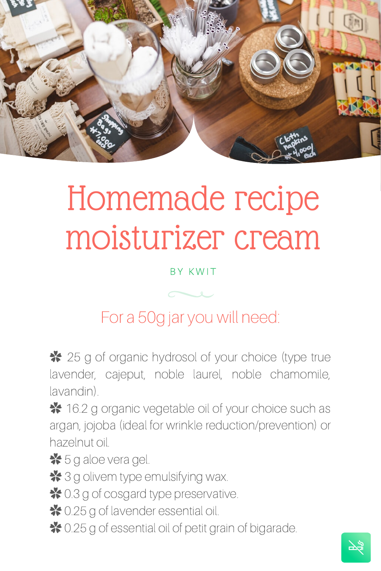

## Homemade recipe moisturizer cream

**BY KWIT** 

For a 50g jar you will need:

✿ 25 g of organic hydrosol of your choice (type true lavender, cajeput, noble laurel, noble chamomile, lavandin).

✿ 16.2 g organic vegetable oil of your choice such as argan, jojoba (ideal for wrinkle reduction/prevention) or hazelnut oil.

 $*$  5 g aloe vera gel.

**举** 3 g olivem type emulsifying wax.

✿ 0.3 g of cosgard type preservative.

<sup>★</sup> 0.25 g of lavender essential oil.

✿ 0.25 g of essential oil of petit grain of bigarade.

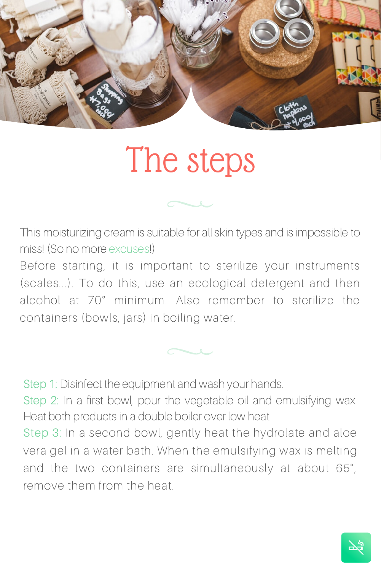

## The steps

This moisturizing cream is suitable for all skin types and is impossible to miss! (So no more excuses!)

Before starting, it is important to sterilize your instruments (scales...). To do this, use an ecological detergent and then alcohol at 70° minimum. Also remember to sterilize the containers (bowls, jars) in boiling water.

Step 1: Disinfect the equipment and wash your hands.

Step 2: In a first bowl, pour the vegetable oil and emulsifying wax. Heat both products in a double boiler over low heat.

Step 3: In a second bowl, gently heat the hydrolate and aloe vera gel in a water bath. When the emulsifying wax is melting and the two containers are simultaneously at about 65° , remove them from the heat.